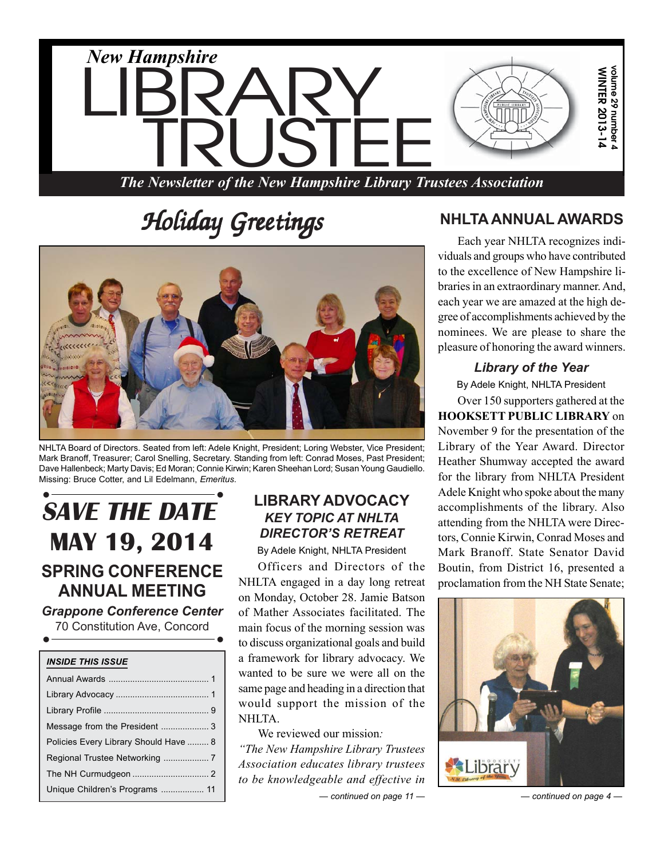

# $H$ oliday Greetings



NHLTA Board of Directors. Seated from left: Adele Knight, President; Loring Webster, Vice President; Mark Branoff, Treasurer; Carol Snelling, Secretary. Standing from left: Conrad Moses, Past President; Dave Hallenbeck; Marty Davis; Ed Moran; Connie Kirwin; Karen Sheehan Lord; Susan Young Gaudiello. Missing: Bruce Cotter, and Lil Edelmann, *Emeritus*.

# *• •* **SAVE THE DATE MAY 19, 2014 SPRING CONFERENCE ANNUAL MEETING**

*Grappone Conference Center* 70 Constitution Ave, Concord *• •*

| <b>INSIDE THIS ISSUE</b>              |  |  |  |  |
|---------------------------------------|--|--|--|--|
|                                       |  |  |  |  |
|                                       |  |  |  |  |
|                                       |  |  |  |  |
|                                       |  |  |  |  |
| Policies Every Library Should Have  8 |  |  |  |  |
|                                       |  |  |  |  |
|                                       |  |  |  |  |
| Unique Children's Programs  11        |  |  |  |  |

# **LIBRARY ADVOCACY** *KEY TOPIC AT NHLTA DIRECTOR'S RETREAT*

By Adele Knight, NHLTA President

Officers and Directors of the NHLTA engaged in a day long retreat on Monday, October 28. Jamie Batson of Mather Associates facilitated. The main focus of the morning session was to discuss organizational goals and build a framework for library advocacy. We wanted to be sure we were all on the same page and heading in a direction that would support the mission of the NHLTA.

*— continued on page 11 —* We reviewed our mission*: "The New Hampshire Library Trustees Association educates library trustees to be knowledgeable and effective in*

# **NHLTA ANNUAL AWARDS**

Each year NHLTA recognizes individuals and groups who have contributed to the excellence of New Hampshire libraries in an extraordinary manner. And, each year we are amazed at the high degree of accomplishments achieved by the nominees. We are please to share the pleasure of honoring the award winners.

#### *Library of the Year*

By Adele Knight, NHLTA President

Over 150 supporters gathered at the **HOOKSETT PUBLIC LIBRARY** on November 9 for the presentation of the Library of the Year Award. Director Heather Shumway accepted the award for the library from NHLTA President Adele Knight who spoke about the many accomplishments of the library. Also attending from the NHLTA were Directors, Connie Kirwin, Conrad Moses and Mark Branoff. State Senator David Boutin, from District 16, presented a proclamation from the NH State Senate;



*— continued on page 4 —*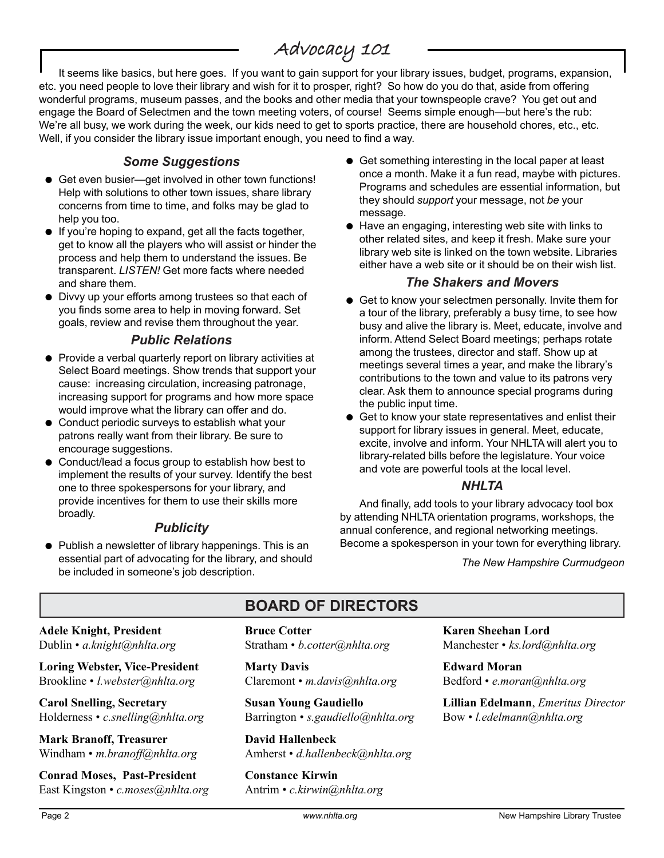# Advocacy 101

It seems like basics, but here goes. If you want to gain support for your library issues, budget, programs, expansion, etc. you need people to love their library and wish for it to prosper, right? So how do you do that, aside from offering wonderful programs, museum passes, and the books and other media that your townspeople crave? You get out and engage the Board of Selectmen and the town meeting voters, of course! Seems simple enough—but here's the rub: We're all busy, we work during the week, our kids need to get to sports practice, there are household chores, etc., etc. Well, if you consider the library issue important enough, you need to find a way.

#### *Some Suggestions*

- Get even busier—get involved in other town functions! Help with solutions to other town issues, share library concerns from time to time, and folks may be glad to help you too.
- If you're hoping to expand, get all the facts together, get to know all the players who will assist or hinder the process and help them to understand the issues. Be transparent. *LISTEN!* Get more facts where needed and share them.
- Divvy up your efforts among trustees so that each of you finds some area to help in moving forward. Set goals, review and revise them throughout the year.

#### *Public Relations*

- Provide a verbal quarterly report on library activities at Select Board meetings. Show trends that support your cause: increasing circulation, increasing patronage, increasing support for programs and how more space would improve what the library can offer and do.
- Conduct periodic surveys to establish what your patrons really want from their library. Be sure to encourage suggestions.
- $\bullet$  Conduct/lead a focus group to establish how best to implement the results of your survey. Identify the best one to three spokespersons for your library, and provide incentives for them to use their skills more broadly.

#### *Publicity*

 $\bullet$  Publish a newsletter of library happenings. This is an essential part of advocating for the library, and should be included in someone's job description.

- Get something interesting in the local paper at least once a month. Make it a fun read, maybe with pictures. Programs and schedules are essential information, but they should *support* your message, not *be* your message.
- Have an engaging, interesting web site with links to other related sites, and keep it fresh. Make sure your library web site is linked on the town website. Libraries either have a web site or it should be on their wish list.

#### *The Shakers and Movers*

- Get to know your selectmen personally. Invite them for a tour of the library, preferably a busy time, to see how busy and alive the library is. Meet, educate, involve and inform. Attend Select Board meetings; perhaps rotate among the trustees, director and staff. Show up at meetings several times a year, and make the library's contributions to the town and value to its patrons very clear. Ask them to announce special programs during the public input time.
- $\bullet$  Get to know your state representatives and enlist their support for library issues in general. Meet, educate, excite, involve and inform. Your NHLTA will alert you to library-related bills before the legislature. Your voice and vote are powerful tools at the local level.

#### *NHLTA*

And finally, add tools to your library advocacy tool box by attending NHLTA orientation programs, workshops, the annual conference, and regional networking meetings. Become a spokesperson in your town for everything library.

*The New Hampshire Curmudgeon*

**Adele Knight, President** Dublin • *a.knight@nhlta.org*

**Loring Webster, Vice-President** Brookline • *l.webster@nhlta.org*

**Carol Snelling, Secretary** Holderness • *c.snelling@nhlta.org*

**Mark Branoff, Treasurer** Windham • *m.branoff@nhlta.org*

**Conrad Moses, Past-President** East Kingston • *c.moses@nhlta.org*

# **BOARD OF DIRECTORS**

#### **Bruce Cotter** Stratham • *b.cotter@nhlta.org*

**Marty Davis** Claremont • *m.davis@nhlta.org*

**Susan Young Gaudiello** Barrington • *s.gaudiello@nhlta.org*

**David Hallenbeck** Amherst • *d.hallenbeck@nhlta.org*

**Constance Kirwin** Antrim • *c.kirwin@nhlta.org* **Karen Sheehan Lord** Manchester • *ks.lord@nhlta.org*

**Edward Moran** Bedford • *e.moran@nhlta.org*

**Lillian Edelmann**, *Emeritus Director* Bow • *l.edelmann@nhlta.org*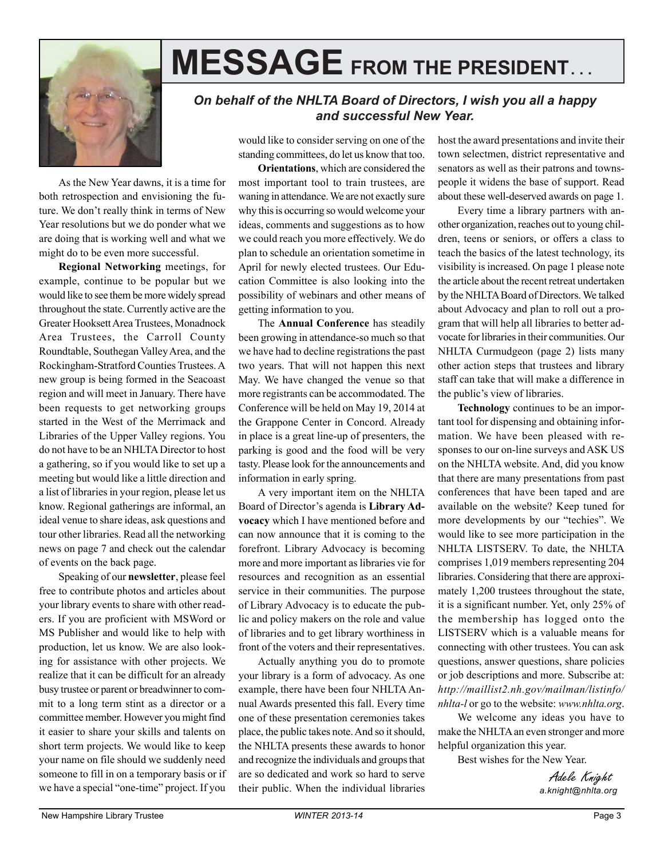

# **MESSAGE FROM THE PRESIDENT. . .**

#### *On behalf of the NHLTA Board of Directors, I wish you all a happy and successful New Year.*

As the New Year dawns, it is a time for both retrospection and envisioning the future. We don't really think in terms of New Year resolutions but we do ponder what we are doing that is working well and what we might do to be even more successful.

**Regional Networking** meetings, for example, continue to be popular but we would like to see them be more widely spread throughout the state. Currently active are the Greater Hooksett Area Trustees, Monadnock Area Trustees, the Carroll County Roundtable, Southegan Valley Area, and the Rockingham-Stratford Counties Trustees. A new group is being formed in the Seacoast region and will meet in January. There have been requests to get networking groups started in the West of the Merrimack and Libraries of the Upper Valley regions. You do not have to be an NHLTA Director to host a gathering, so if you would like to set up a meeting but would like a little direction and a list of libraries in your region, please let us know. Regional gatherings are informal, an ideal venue to share ideas, ask questions and tour other libraries. Read all the networking news on page 7 and check out the calendar of events on the back page.

Speaking of our **newsletter**, please feel free to contribute photos and articles about your library events to share with other readers. If you are proficient with MSWord or MS Publisher and would like to help with production, let us know. We are also looking for assistance with other projects. We realize that it can be difficult for an already busy trustee or parent or breadwinner to commit to a long term stint as a director or a committee member. However you might find it easier to share your skills and talents on short term projects. We would like to keep your name on file should we suddenly need someone to fill in on a temporary basis or if we have a special "one-time" project. If you

would like to consider serving on one of the standing committees, do let us know that too.

**Orientations**, which are considered the most important tool to train trustees, are waning in attendance. We are not exactly sure why this is occurring so would welcome your ideas, comments and suggestions as to how we could reach you more effectively. We do plan to schedule an orientation sometime in April for newly elected trustees. Our Education Committee is also looking into the possibility of webinars and other means of getting information to you.

The **Annual Conference** has steadily been growing in attendance-so much so that we have had to decline registrations the past two years. That will not happen this next May. We have changed the venue so that more registrants can be accommodated. The Conference will be held on May 19, 2014 at the Grappone Center in Concord. Already in place is a great line-up of presenters, the parking is good and the food will be very tasty. Please look for the announcements and information in early spring.

A very important item on the NHLTA Board of Director's agenda is **Library Advocacy** which I have mentioned before and can now announce that it is coming to the forefront. Library Advocacy is becoming more and more important as libraries vie for resources and recognition as an essential service in their communities. The purpose of Library Advocacy is to educate the public and policy makers on the role and value of libraries and to get library worthiness in front of the voters and their representatives.

Actually anything you do to promote your library is a form of advocacy. As one example, there have been four NHLTA Annual Awards presented this fall. Every time one of these presentation ceremonies takes place, the public takes note. And so it should, the NHLTA presents these awards to honor and recognize the individuals and groups that are so dedicated and work so hard to serve their public. When the individual libraries host the award presentations and invite their town selectmen, district representative and senators as well as their patrons and townspeople it widens the base of support. Read about these well-deserved awards on page 1.

Every time a library partners with another organization, reaches out to young children, teens or seniors, or offers a class to teach the basics of the latest technology, its visibility is increased. On page 1 please note the article about the recent retreat undertaken by the NHLTA Board of Directors. We talked about Advocacy and plan to roll out a program that will help all libraries to better advocate for libraries in their communities. Our NHLTA Curmudgeon (page 2) lists many other action steps that trustees and library staff can take that will make a difference in the public's view of libraries.

**Technology** continues to be an important tool for dispensing and obtaining information. We have been pleased with responses to our on-line surveys and ASK US on the NHLTA website. And, did you know that there are many presentations from past conferences that have been taped and are available on the website? Keep tuned for more developments by our "techies". We would like to see more participation in the NHLTA LISTSERV. To date, the NHLTA comprises 1,019 members representing 204 libraries. Considering that there are approximately 1,200 trustees throughout the state, it is a significant number. Yet, only 25% of the membership has logged onto the LISTSERV which is a valuable means for connecting with other trustees. You can ask questions, answer questions, share policies or job descriptions and more. Subscribe at: *http://maillist2.nh.gov/mailman/listinfo/ nhlta-l* or go to the website: *www.nhlta.org*.

We welcome any ideas you have to make the NHLTA an even stronger and more helpful organization this year.

Best wishes for the New Year.

Adele Knight *a.knight@nhlta.org*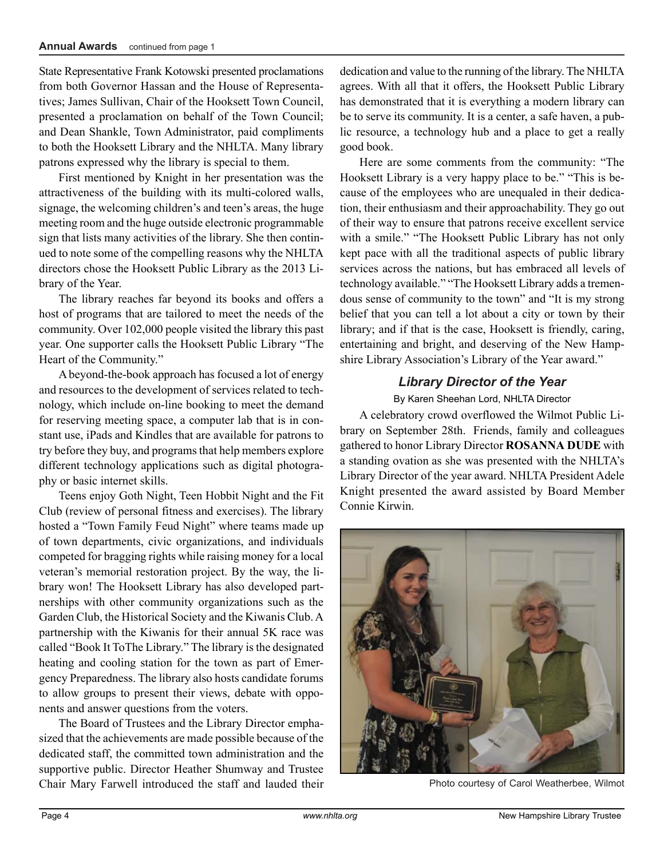State Representative Frank Kotowski presented proclamations from both Governor Hassan and the House of Representatives; James Sullivan, Chair of the Hooksett Town Council, presented a proclamation on behalf of the Town Council; and Dean Shankle, Town Administrator, paid compliments to both the Hooksett Library and the NHLTA. Many library patrons expressed why the library is special to them.

First mentioned by Knight in her presentation was the attractiveness of the building with its multi-colored walls, signage, the welcoming children's and teen's areas, the huge meeting room and the huge outside electronic programmable sign that lists many activities of the library. She then continued to note some of the compelling reasons why the NHLTA directors chose the Hooksett Public Library as the 2013 Library of the Year.

The library reaches far beyond its books and offers a host of programs that are tailored to meet the needs of the community. Over 102,000 people visited the library this past year. One supporter calls the Hooksett Public Library "The Heart of the Community."

A beyond-the-book approach has focused a lot of energy and resources to the development of services related to technology, which include on-line booking to meet the demand for reserving meeting space, a computer lab that is in constant use, iPads and Kindles that are available for patrons to try before they buy, and programs that help members explore different technology applications such as digital photography or basic internet skills.

Teens enjoy Goth Night, Teen Hobbit Night and the Fit Club (review of personal fitness and exercises). The library hosted a "Town Family Feud Night" where teams made up of town departments, civic organizations, and individuals competed for bragging rights while raising money for a local veteran's memorial restoration project. By the way, the library won! The Hooksett Library has also developed partnerships with other community organizations such as the Garden Club, the Historical Society and the Kiwanis Club. A partnership with the Kiwanis for their annual 5K race was called "Book It ToThe Library." The library is the designated heating and cooling station for the town as part of Emergency Preparedness. The library also hosts candidate forums to allow groups to present their views, debate with opponents and answer questions from the voters.

The Board of Trustees and the Library Director emphasized that the achievements are made possible because of the dedicated staff, the committed town administration and the supportive public. Director Heather Shumway and Trustee Chair Mary Farwell introduced the staff and lauded their

dedication and value to the running of the library. The NHLTA agrees. With all that it offers, the Hooksett Public Library has demonstrated that it is everything a modern library can be to serve its community. It is a center, a safe haven, a public resource, a technology hub and a place to get a really good book.

Here are some comments from the community: "The Hooksett Library is a very happy place to be." "This is because of the employees who are unequaled in their dedication, their enthusiasm and their approachability. They go out of their way to ensure that patrons receive excellent service with a smile." "The Hooksett Public Library has not only kept pace with all the traditional aspects of public library services across the nations, but has embraced all levels of technology available." "The Hooksett Library adds a tremendous sense of community to the town" and "It is my strong belief that you can tell a lot about a city or town by their library; and if that is the case, Hooksett is friendly, caring, entertaining and bright, and deserving of the New Hampshire Library Association's Library of the Year award."

#### *Library Director of the Year*

#### By Karen Sheehan Lord, NHLTA Director

A celebratory crowd overflowed the Wilmot Public Library on September 28th. Friends, family and colleagues gathered to honor Library Director **ROSANNA DUDE** with a standing ovation as she was presented with the NHLTA's Library Director of the year award. NHLTA President Adele Knight presented the award assisted by Board Member Connie Kirwin.



Photo courtesy of Carol Weatherbee, Wilmot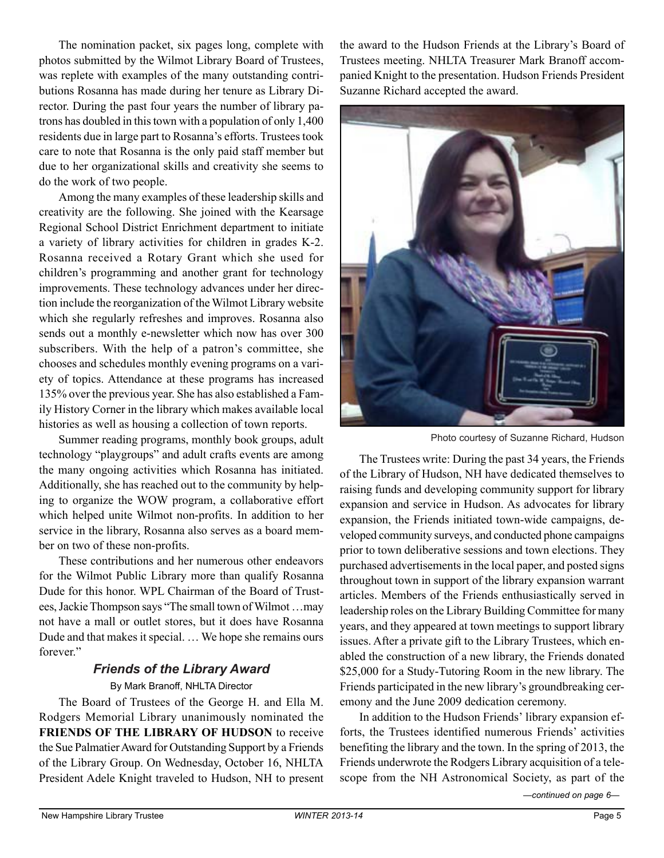The nomination packet, six pages long, complete with photos submitted by the Wilmot Library Board of Trustees, was replete with examples of the many outstanding contributions Rosanna has made during her tenure as Library Director. During the past four years the number of library patrons has doubled in this town with a population of only 1,400 residents due in large part to Rosanna's efforts. Trustees took care to note that Rosanna is the only paid staff member but due to her organizational skills and creativity she seems to do the work of two people.

Among the many examples of these leadership skills and creativity are the following. She joined with the Kearsage Regional School District Enrichment department to initiate a variety of library activities for children in grades K-2. Rosanna received a Rotary Grant which she used for children's programming and another grant for technology improvements. These technology advances under her direction include the reorganization of the Wilmot Library website which she regularly refreshes and improves. Rosanna also sends out a monthly e-newsletter which now has over 300 subscribers. With the help of a patron's committee, she chooses and schedules monthly evening programs on a variety of topics. Attendance at these programs has increased 135% over the previous year. She has also established a Family History Corner in the library which makes available local histories as well as housing a collection of town reports.

Summer reading programs, monthly book groups, adult technology "playgroups" and adult crafts events are among the many ongoing activities which Rosanna has initiated. Additionally, she has reached out to the community by helping to organize the WOW program, a collaborative effort which helped unite Wilmot non-profits. In addition to her service in the library, Rosanna also serves as a board member on two of these non-profits.

These contributions and her numerous other endeavors for the Wilmot Public Library more than qualify Rosanna Dude for this honor. WPL Chairman of the Board of Trustees, Jackie Thompson says "The small town of Wilmot …may not have a mall or outlet stores, but it does have Rosanna Dude and that makes it special. … We hope she remains ours forever."

# *Friends of the Library Award*

#### By Mark Branoff, NHLTA Director

The Board of Trustees of the George H. and Ella M. Rodgers Memorial Library unanimously nominated the **FRIENDS OF THE LIBRARY OF HUDSON** to receive the Sue Palmatier Award for Outstanding Support by a Friends of the Library Group. On Wednesday, October 16, NHLTA President Adele Knight traveled to Hudson, NH to present the award to the Hudson Friends at the Library's Board of Trustees meeting. NHLTA Treasurer Mark Branoff accompanied Knight to the presentation. Hudson Friends President Suzanne Richard accepted the award.



Photo courtesy of Suzanne Richard, Hudson

The Trustees write: During the past 34 years, the Friends of the Library of Hudson, NH have dedicated themselves to raising funds and developing community support for library expansion and service in Hudson. As advocates for library expansion, the Friends initiated town-wide campaigns, developed community surveys, and conducted phone campaigns prior to town deliberative sessions and town elections. They purchased advertisements in the local paper, and posted signs throughout town in support of the library expansion warrant articles. Members of the Friends enthusiastically served in leadership roles on the Library Building Committee for many years, and they appeared at town meetings to support library issues. After a private gift to the Library Trustees, which enabled the construction of a new library, the Friends donated \$25,000 for a Study-Tutoring Room in the new library. The Friends participated in the new library's groundbreaking ceremony and the June 2009 dedication ceremony.

In addition to the Hudson Friends' library expansion efforts, the Trustees identified numerous Friends' activities benefiting the library and the town. In the spring of 2013, the Friends underwrote the Rodgers Library acquisition of a telescope from the NH Astronomical Society, as part of the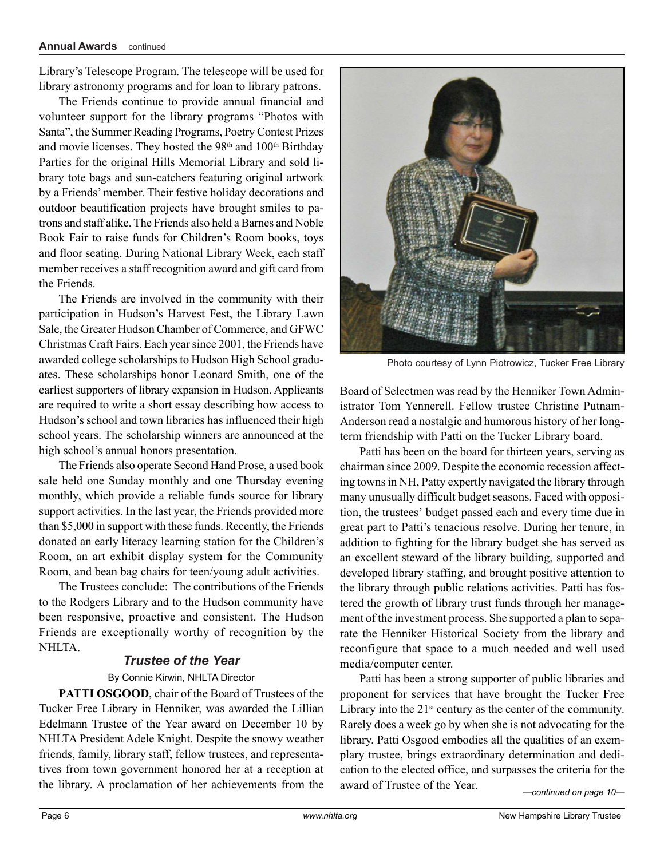Library's Telescope Program. The telescope will be used for library astronomy programs and for loan to library patrons.

The Friends continue to provide annual financial and volunteer support for the library programs "Photos with Santa", the Summer Reading Programs, Poetry Contest Prizes and movie licenses. They hosted the 98<sup>th</sup> and 100<sup>th</sup> Birthday Parties for the original Hills Memorial Library and sold library tote bags and sun-catchers featuring original artwork by a Friends' member. Their festive holiday decorations and outdoor beautification projects have brought smiles to patrons and staff alike. The Friends also held a Barnes and Noble Book Fair to raise funds for Children's Room books, toys and floor seating. During National Library Week, each staff member receives a staff recognition award and gift card from the Friends.

The Friends are involved in the community with their participation in Hudson's Harvest Fest, the Library Lawn Sale, the Greater Hudson Chamber of Commerce, and GFWC Christmas Craft Fairs. Each year since 2001, the Friends have awarded college scholarships to Hudson High School graduates. These scholarships honor Leonard Smith, one of the earliest supporters of library expansion in Hudson. Applicants are required to write a short essay describing how access to Hudson's school and town libraries has influenced their high school years. The scholarship winners are announced at the high school's annual honors presentation.

The Friends also operate Second Hand Prose, a used book sale held one Sunday monthly and one Thursday evening monthly, which provide a reliable funds source for library support activities. In the last year, the Friends provided more than \$5,000 in support with these funds. Recently, the Friends donated an early literacy learning station for the Children's Room, an art exhibit display system for the Community Room, and bean bag chairs for teen/young adult activities.

The Trustees conclude: The contributions of the Friends to the Rodgers Library and to the Hudson community have been responsive, proactive and consistent. The Hudson Friends are exceptionally worthy of recognition by the NHLTA.

#### *Trustee of the Year*

#### By Connie Kirwin, NHLTA Director

**PATTI OSGOOD**, chair of the Board of Trustees of the Tucker Free Library in Henniker, was awarded the Lillian Edelmann Trustee of the Year award on December 10 by NHLTA President Adele Knight. Despite the snowy weather friends, family, library staff, fellow trustees, and representatives from town government honored her at a reception at the library. A proclamation of her achievements from the



Photo courtesy of Lynn Piotrowicz, Tucker Free Library

Board of Selectmen was read by the Henniker Town Administrator Tom Yennerell. Fellow trustee Christine Putnam-Anderson read a nostalgic and humorous history of her longterm friendship with Patti on the Tucker Library board.

Patti has been on the board for thirteen years, serving as chairman since 2009. Despite the economic recession affecting towns in NH, Patty expertly navigated the library through many unusually difficult budget seasons. Faced with opposition, the trustees' budget passed each and every time due in great part to Patti's tenacious resolve. During her tenure, in addition to fighting for the library budget she has served as an excellent steward of the library building, supported and developed library staffing, and brought positive attention to the library through public relations activities. Patti has fostered the growth of library trust funds through her management of the investment process. She supported a plan to separate the Henniker Historical Society from the library and reconfigure that space to a much needed and well used media/computer center.

Patti has been a strong supporter of public libraries and proponent for services that have brought the Tucker Free Library into the  $21<sup>st</sup>$  century as the center of the community. Rarely does a week go by when she is not advocating for the library. Patti Osgood embodies all the qualities of an exemplary trustee, brings extraordinary determination and dedication to the elected office, and surpasses the criteria for the award of Trustee of the Year.

*—continued on page 10—*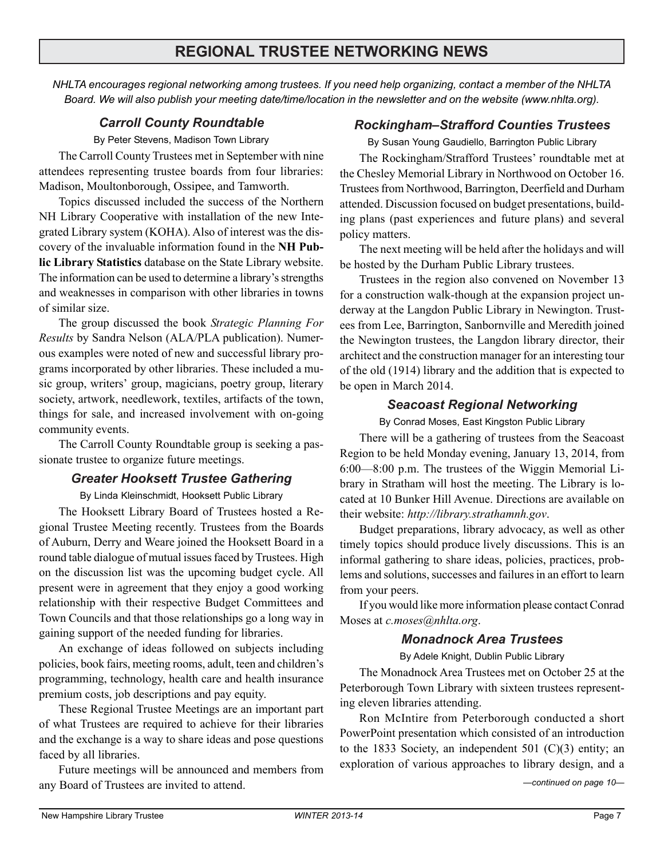*NHLTA encourages regional networking among trustees. If you need help organizing, contact a member of the NHLTA Board. We will also publish your meeting date/time/location in the newsletter and on the website (www.nhlta.org).*

#### *Carroll County Roundtable*

By Peter Stevens, Madison Town Library

The Carroll County Trustees met in September with nine attendees representing trustee boards from four libraries: Madison, Moultonborough, Ossipee, and Tamworth.

Topics discussed included the success of the Northern NH Library Cooperative with installation of the new Integrated Library system (KOHA). Also of interest was the discovery of the invaluable information found in the **NH Public Library Statistics** database on the State Library website. The information can be used to determine a library's strengths and weaknesses in comparison with other libraries in towns of similar size.

The group discussed the book *Strategic Planning For Results* by Sandra Nelson (ALA/PLA publication). Numerous examples were noted of new and successful library programs incorporated by other libraries. These included a music group, writers' group, magicians, poetry group, literary society, artwork, needlework, textiles, artifacts of the town, things for sale, and increased involvement with on-going community events.

The Carroll County Roundtable group is seeking a passionate trustee to organize future meetings.

#### *Greater Hooksett Trustee Gathering*

By Linda Kleinschmidt, Hooksett Public Library

The Hooksett Library Board of Trustees hosted a Regional Trustee Meeting recently. Trustees from the Boards of Auburn, Derry and Weare joined the Hooksett Board in a round table dialogue of mutual issues faced by Trustees. High on the discussion list was the upcoming budget cycle. All present were in agreement that they enjoy a good working relationship with their respective Budget Committees and Town Councils and that those relationships go a long way in gaining support of the needed funding for libraries.

An exchange of ideas followed on subjects including policies, book fairs, meeting rooms, adult, teen and children's programming, technology, health care and health insurance premium costs, job descriptions and pay equity.

These Regional Trustee Meetings are an important part of what Trustees are required to achieve for their libraries and the exchange is a way to share ideas and pose questions faced by all libraries.

Future meetings will be announced and members from any Board of Trustees are invited to attend.

#### *Rockingham–Strafford Counties Trustees*

By Susan Young Gaudiello, Barrington Public Library

The Rockingham/Strafford Trustees' roundtable met at the Chesley Memorial Library in Northwood on October 16. Trustees from Northwood, Barrington, Deerfield and Durham attended. Discussion focused on budget presentations, building plans (past experiences and future plans) and several policy matters.

The next meeting will be held after the holidays and will be hosted by the Durham Public Library trustees.

Trustees in the region also convened on November 13 for a construction walk-though at the expansion project underway at the Langdon Public Library in Newington. Trustees from Lee, Barrington, Sanbornville and Meredith joined the Newington trustees, the Langdon library director, their architect and the construction manager for an interesting tour of the old (1914) library and the addition that is expected to be open in March 2014.

#### *Seacoast Regional Networking*

By Conrad Moses, East Kingston Public Library

There will be a gathering of trustees from the Seacoast Region to be held Monday evening, January 13, 2014, from 6:00—8:00 p.m. The trustees of the Wiggin Memorial Library in Stratham will host the meeting. The Library is located at 10 Bunker Hill Avenue. Directions are available on their website: *http://library.strathamnh.gov*.

Budget preparations, library advocacy, as well as other timely topics should produce lively discussions. This is an informal gathering to share ideas, policies, practices, problems and solutions, successes and failures in an effort to learn from your peers.

If you would like more information please contact Conrad Moses at *c.moses@nhlta.org*.

### *Monadnock Area Trustees*

By Adele Knight, Dublin Public Library

The Monadnock Area Trustees met on October 25 at the Peterborough Town Library with sixteen trustees representing eleven libraries attending.

Ron McIntire from Peterborough conducted a short PowerPoint presentation which consisted of an introduction to the 1833 Society, an independent 501  $(C)(3)$  entity; an exploration of various approaches to library design, and a

*—continued on page 10—*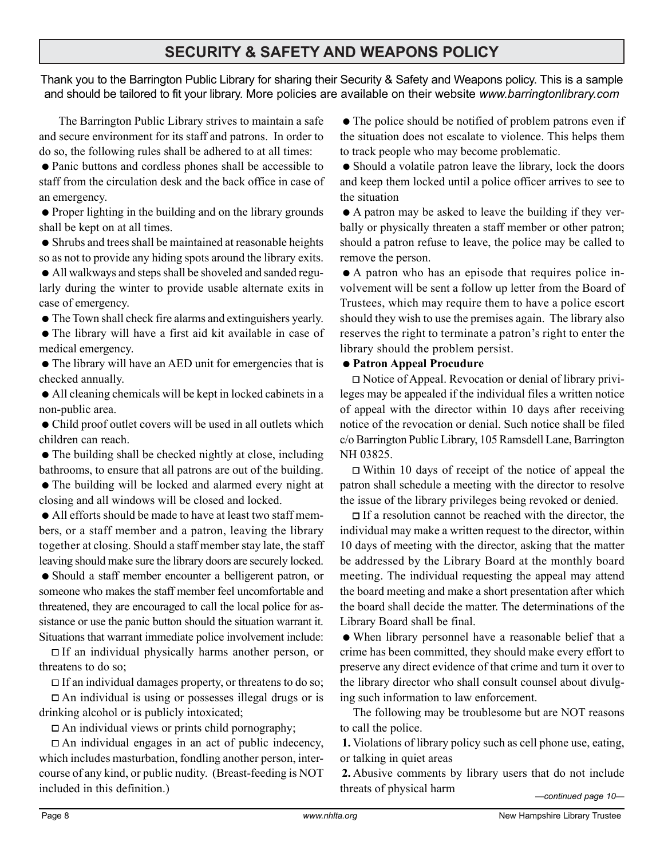# **SECURITY & SAFETY AND WEAPONS POLICY**

Thank you to the Barrington Public Library for sharing their Security & Safety and Weapons policy. This is a sample and should be tailored to fit your library. More policies are available on their website *www.barringtonlibrary.com*

The Barrington Public Library strives to maintain a safe and secure environment for its staff and patrons. In order to do so, the following rules shall be adhered to at all times:

• Panic buttons and cordless phones shall be accessible to staff from the circulation desk and the back office in case of an emergency.

• Proper lighting in the building and on the library grounds shall be kept on at all times.

• Shrubs and trees shall be maintained at reasonable heights so as not to provide any hiding spots around the library exits.

• All walkways and steps shall be shoveled and sanded regularly during the winter to provide usable alternate exits in case of emergency.

• The Town shall check fire alarms and extinguishers yearly.

• The library will have a first aid kit available in case of medical emergency.

• The library will have an AED unit for emergencies that is checked annually.

• All cleaning chemicals will be kept in locked cabinets in a non-public area.

• Child proof outlet covers will be used in all outlets which children can reach.

 $\bullet$  The building shall be checked nightly at close, including bathrooms, to ensure that all patrons are out of the building.

• The building will be locked and alarmed every night at closing and all windows will be closed and locked.

• All efforts should be made to have at least two staff members, or a staff member and a patron, leaving the library together at closing. Should a staff member stay late, the staff leaving should make sure the library doors are securely locked.

• Should a staff member encounter a belligerent patron, or someone who makes the staff member feel uncomfortable and threatened, they are encouraged to call the local police for assistance or use the panic button should the situation warrant it. Situations that warrant immediate police involvement include:

 $\Box$  If an individual physically harms another person, or threatens to do so;

 $\Box$  If an individual damages property, or threatens to do so;

 An individual is using or possesses illegal drugs or is drinking alcohol or is publicly intoxicated;

 $\Box$  An individual views or prints child pornography;

 $\Box$  An individual engages in an act of public indecency, which includes masturbation, fondling another person, intercourse of any kind, or public nudity. (Breast-feeding is NOT included in this definition.)

• The police should be notified of problem patrons even if the situation does not escalate to violence. This helps them to track people who may become problematic.

• Should a volatile patron leave the library, lock the doors and keep them locked until a police officer arrives to see to the situation

• A patron may be asked to leave the building if they verbally or physically threaten a staff member or other patron; should a patron refuse to leave, the police may be called to remove the person.

• A patron who has an episode that requires police involvement will be sent a follow up letter from the Board of Trustees, which may require them to have a police escort should they wish to use the premises again. The library also reserves the right to terminate a patron's right to enter the library should the problem persist.

#### $\bullet$  **Patron Appeal Procudure**

 Notice of Appeal. Revocation or denial of library privileges may be appealed if the individual files a written notice of appeal with the director within 10 days after receiving notice of the revocation or denial. Such notice shall be filed c/o Barrington Public Library, 105 Ramsdell Lane, Barrington NH 03825.

 $\Box$  Within 10 days of receipt of the notice of appeal the patron shall schedule a meeting with the director to resolve the issue of the library privileges being revoked or denied.

 $\Box$  If a resolution cannot be reached with the director, the individual may make a written request to the director, within 10 days of meeting with the director, asking that the matter be addressed by the Library Board at the monthly board meeting. The individual requesting the appeal may attend the board meeting and make a short presentation after which the board shall decide the matter. The determinations of the Library Board shall be final.

• When library personnel have a reasonable belief that a crime has been committed, they should make every effort to preserve any direct evidence of that crime and turn it over to the library director who shall consult counsel about divulging such information to law enforcement.

The following may be troublesome but are NOT reasons to call the police.

**1.** Violations of library policy such as cell phone use, eating, or talking in quiet areas

**2.** Abusive comments by library users that do not include threats of physical harm *—continued page 10—*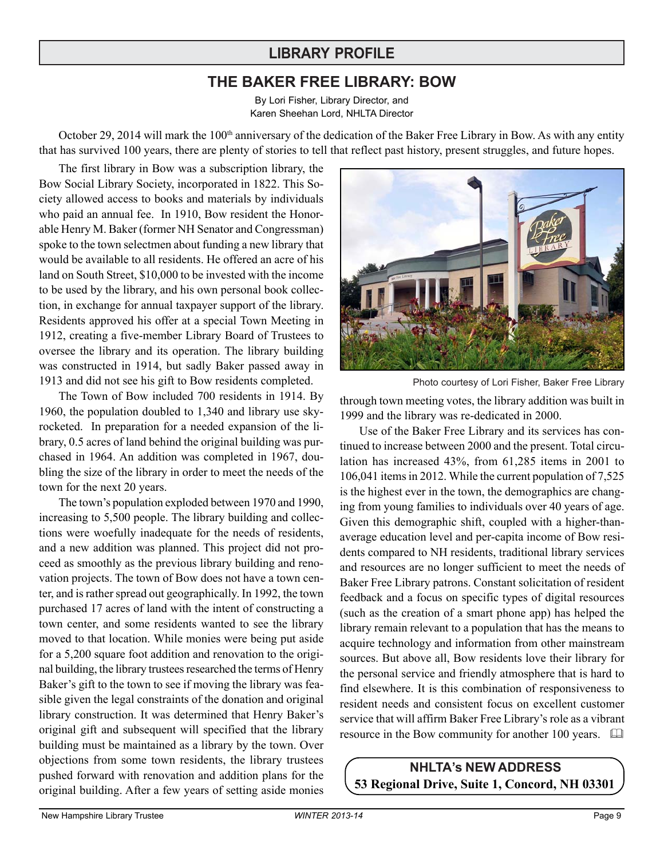# **LIBRARY PROFILE**

## **THE BAKER FREE LIBRARY: BOW**

By Lori Fisher, Library Director, and Karen Sheehan Lord, NHLTA Director

October 29, 2014 will mark the 100<sup>th</sup> anniversary of the dedication of the Baker Free Library in Bow. As with any entity that has survived 100 years, there are plenty of stories to tell that reflect past history, present struggles, and future hopes.

The first library in Bow was a subscription library, the Bow Social Library Society, incorporated in 1822. This Society allowed access to books and materials by individuals who paid an annual fee. In 1910, Bow resident the Honorable Henry M. Baker (former NH Senator and Congressman) spoke to the town selectmen about funding a new library that would be available to all residents. He offered an acre of his land on South Street, \$10,000 to be invested with the income to be used by the library, and his own personal book collection, in exchange for annual taxpayer support of the library. Residents approved his offer at a special Town Meeting in 1912, creating a five-member Library Board of Trustees to oversee the library and its operation. The library building was constructed in 1914, but sadly Baker passed away in 1913 and did not see his gift to Bow residents completed.

The Town of Bow included 700 residents in 1914. By 1960, the population doubled to 1,340 and library use skyrocketed. In preparation for a needed expansion of the library, 0.5 acres of land behind the original building was purchased in 1964. An addition was completed in 1967, doubling the size of the library in order to meet the needs of the town for the next 20 years.

The town's population exploded between 1970 and 1990, increasing to 5,500 people. The library building and collections were woefully inadequate for the needs of residents, and a new addition was planned. This project did not proceed as smoothly as the previous library building and renovation projects. The town of Bow does not have a town center, and is rather spread out geographically. In 1992, the town purchased 17 acres of land with the intent of constructing a town center, and some residents wanted to see the library moved to that location. While monies were being put aside for a 5,200 square foot addition and renovation to the original building, the library trustees researched the terms of Henry Baker's gift to the town to see if moving the library was feasible given the legal constraints of the donation and original library construction. It was determined that Henry Baker's original gift and subsequent will specified that the library building must be maintained as a library by the town. Over objections from some town residents, the library trustees pushed forward with renovation and addition plans for the original building. After a few years of setting aside monies





through town meeting votes, the library addition was built in 1999 and the library was re-dedicated in 2000.

Use of the Baker Free Library and its services has continued to increase between 2000 and the present. Total circulation has increased 43%, from 61,285 items in 2001 to 106,041 items in 2012. While the current population of 7,525 is the highest ever in the town, the demographics are changing from young families to individuals over 40 years of age. Given this demographic shift, coupled with a higher-thanaverage education level and per-capita income of Bow residents compared to NH residents, traditional library services and resources are no longer sufficient to meet the needs of Baker Free Library patrons. Constant solicitation of resident feedback and a focus on specific types of digital resources (such as the creation of a smart phone app) has helped the library remain relevant to a population that has the means to acquire technology and information from other mainstream sources. But above all, Bow residents love their library for the personal service and friendly atmosphere that is hard to find elsewhere. It is this combination of responsiveness to resident needs and consistent focus on excellent customer service that will affirm Baker Free Library's role as a vibrant resource in the Bow community for another 100 years.  $\Box$ 

**NHLTA's NEW ADDRESS 53 Regional Drive, Suite 1, Concord, NH 03301**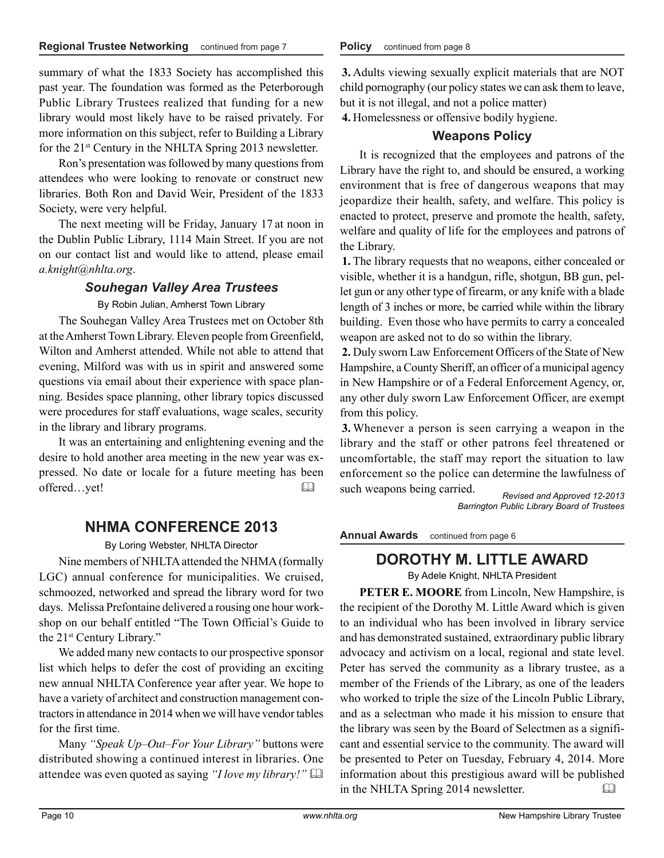summary of what the 1833 Society has accomplished this past year. The foundation was formed as the Peterborough Public Library Trustees realized that funding for a new library would most likely have to be raised privately. For more information on this subject, refer to Building a Library for the 21st Century in the NHLTA Spring 2013 newsletter.

Ron's presentation was followed by many questions from attendees who were looking to renovate or construct new libraries. Both Ron and David Weir, President of the 1833 Society, were very helpful.

The next meeting will be Friday, January 17 at noon in the Dublin Public Library, 1114 Main Street. If you are not on our contact list and would like to attend, please email *a.knight@nhlta.org*.

#### *Souhegan Valley Area Trustees*

By Robin Julian, Amherst Town Library

The Souhegan Valley Area Trustees met on October 8th at the Amherst Town Library. Eleven people from Greenfield, Wilton and Amherst attended. While not able to attend that evening, Milford was with us in spirit and answered some questions via email about their experience with space planning. Besides space planning, other library topics discussed were procedures for staff evaluations, wage scales, security in the library and library programs.

It was an entertaining and enlightening evening and the desire to hold another area meeting in the new year was expressed. No date or locale for a future meeting has been offered…yet! 

# **NHMA CONFERENCE 2013**

#### By Loring Webster, NHLTA Director

Nine members of NHLTA attended the NHMA (formally LGC) annual conference for municipalities. We cruised, schmoozed, networked and spread the library word for two days. Melissa Prefontaine delivered a rousing one hour workshop on our behalf entitled "The Town Official's Guide to the 21st Century Library."

We added many new contacts to our prospective sponsor list which helps to defer the cost of providing an exciting new annual NHLTA Conference year after year. We hope to have a variety of architect and construction management contractors in attendance in 2014 when we will have vendor tables for the first time.

Many *"Speak Up–Out–For Your Library"* buttons were distributed showing a continued interest in libraries. One attendee was even quoted as saying *"I love my library!"* 

**3.** Adults viewing sexually explicit materials that are NOT child pornography (our policy states we can ask them to leave, but it is not illegal, and not a police matter)

**4.** Homelessness or offensive bodily hygiene.

### **Weapons Policy**

It is recognized that the employees and patrons of the Library have the right to, and should be ensured, a working environment that is free of dangerous weapons that may jeopardize their health, safety, and welfare. This policy is enacted to protect, preserve and promote the health, safety, welfare and quality of life for the employees and patrons of the Library.

**1.** The library requests that no weapons, either concealed or visible, whether it is a handgun, rifle, shotgun, BB gun, pellet gun or any other type of firearm, or any knife with a blade length of 3 inches or more, be carried while within the library building. Even those who have permits to carry a concealed weapon are asked not to do so within the library.

**2.** Duly sworn Law Enforcement Officers of the State of New Hampshire, a County Sheriff, an officer of a municipal agency in New Hampshire or of a Federal Enforcement Agency, or, any other duly sworn Law Enforcement Officer, are exempt from this policy.

**3.** Whenever a person is seen carrying a weapon in the library and the staff or other patrons feel threatened or uncomfortable, the staff may report the situation to law enforcement so the police can determine the lawfulness of such weapons being carried.

*Revised and Approved 12-2013 Barrington Public Library Board of Trustees*

**Annual Awards** continued from page 6

# **DOROTHY M. LITTLE AWARD**

By Adele Knight, NHLTA President

**PETER E. MOORE** from Lincoln, New Hampshire, is the recipient of the Dorothy M. Little Award which is given to an individual who has been involved in library service and has demonstrated sustained, extraordinary public library advocacy and activism on a local, regional and state level. Peter has served the community as a library trustee, as a member of the Friends of the Library, as one of the leaders who worked to triple the size of the Lincoln Public Library, and as a selectman who made it his mission to ensure that the library was seen by the Board of Selectmen as a significant and essential service to the community. The award will be presented to Peter on Tuesday, February 4, 2014. More information about this prestigious award will be published in the NHLTA Spring 2014 newsletter.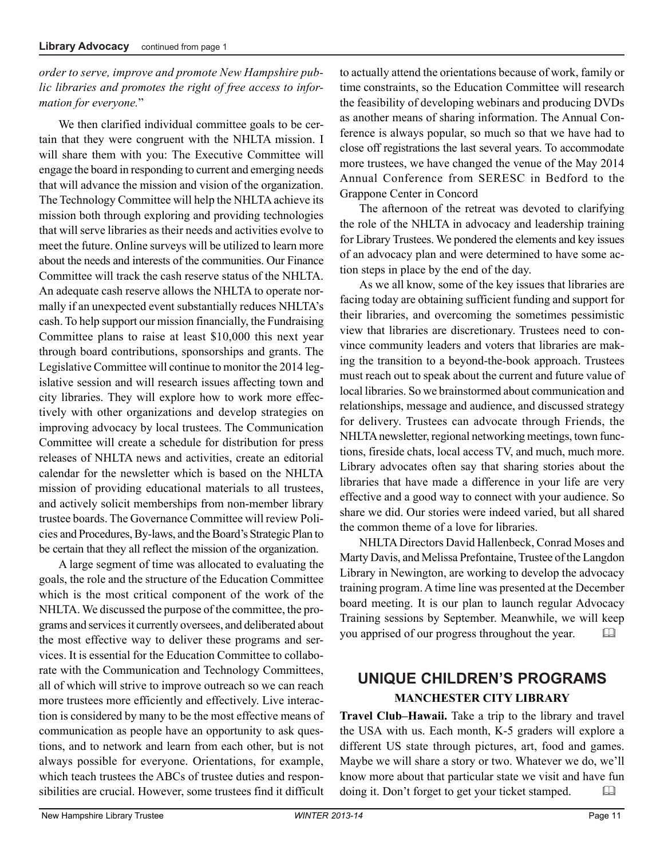#### *order to serve, improve and promote New Hampshire public libraries and promotes the right of free access to information for everyone.*"

We then clarified individual committee goals to be certain that they were congruent with the NHLTA mission. I will share them with you: The Executive Committee will engage the board in responding to current and emerging needs that will advance the mission and vision of the organization. The Technology Committee will help the NHLTA achieve its mission both through exploring and providing technologies that will serve libraries as their needs and activities evolve to meet the future. Online surveys will be utilized to learn more about the needs and interests of the communities. Our Finance Committee will track the cash reserve status of the NHLTA. An adequate cash reserve allows the NHLTA to operate normally if an unexpected event substantially reduces NHLTA's cash. To help support our mission financially, the Fundraising Committee plans to raise at least \$10,000 this next year through board contributions, sponsorships and grants. The Legislative Committee will continue to monitor the 2014 legislative session and will research issues affecting town and city libraries. They will explore how to work more effectively with other organizations and develop strategies on improving advocacy by local trustees. The Communication Committee will create a schedule for distribution for press releases of NHLTA news and activities, create an editorial calendar for the newsletter which is based on the NHLTA mission of providing educational materials to all trustees, and actively solicit memberships from non-member library trustee boards. The Governance Committee will review Policies and Procedures, By-laws, and the Board's Strategic Plan to be certain that they all reflect the mission of the organization.

A large segment of time was allocated to evaluating the goals, the role and the structure of the Education Committee which is the most critical component of the work of the NHLTA. We discussed the purpose of the committee, the programs and services it currently oversees, and deliberated about the most effective way to deliver these programs and services. It is essential for the Education Committee to collaborate with the Communication and Technology Committees, all of which will strive to improve outreach so we can reach more trustees more efficiently and effectively. Live interaction is considered by many to be the most effective means of communication as people have an opportunity to ask questions, and to network and learn from each other, but is not always possible for everyone. Orientations, for example, which teach trustees the ABCs of trustee duties and responsibilities are crucial. However, some trustees find it difficult

to actually attend the orientations because of work, family or time constraints, so the Education Committee will research the feasibility of developing webinars and producing DVDs as another means of sharing information. The Annual Conference is always popular, so much so that we have had to close off registrations the last several years. To accommodate more trustees, we have changed the venue of the May 2014 Annual Conference from SERESC in Bedford to the Grappone Center in Concord

The afternoon of the retreat was devoted to clarifying the role of the NHLTA in advocacy and leadership training for Library Trustees. We pondered the elements and key issues of an advocacy plan and were determined to have some action steps in place by the end of the day.

As we all know, some of the key issues that libraries are facing today are obtaining sufficient funding and support for their libraries, and overcoming the sometimes pessimistic view that libraries are discretionary. Trustees need to convince community leaders and voters that libraries are making the transition to a beyond-the-book approach. Trustees must reach out to speak about the current and future value of local libraries. So we brainstormed about communication and relationships, message and audience, and discussed strategy for delivery. Trustees can advocate through Friends, the NHLTA newsletter, regional networking meetings, town functions, fireside chats, local access TV, and much, much more. Library advocates often say that sharing stories about the libraries that have made a difference in your life are very effective and a good way to connect with your audience. So share we did. Our stories were indeed varied, but all shared the common theme of a love for libraries.

NHLTA Directors David Hallenbeck, Conrad Moses and Marty Davis, and Melissa Prefontaine, Trustee of the Langdon Library in Newington, are working to develop the advocacy training program. A time line was presented at the December board meeting. It is our plan to launch regular Advocacy Training sessions by September. Meanwhile, we will keep you apprised of our progress throughout the year. 

# **UNIQUE CHILDREN'S PROGRAMS MANCHESTER CITY LIBRARY**

**Travel Club–Hawaii.** Take a trip to the library and travel the USA with us. Each month, K-5 graders will explore a different US state through pictures, art, food and games. Maybe we will share a story or two. Whatever we do, we'll know more about that particular state we visit and have fun doing it. Don't forget to get your ticket stamped.